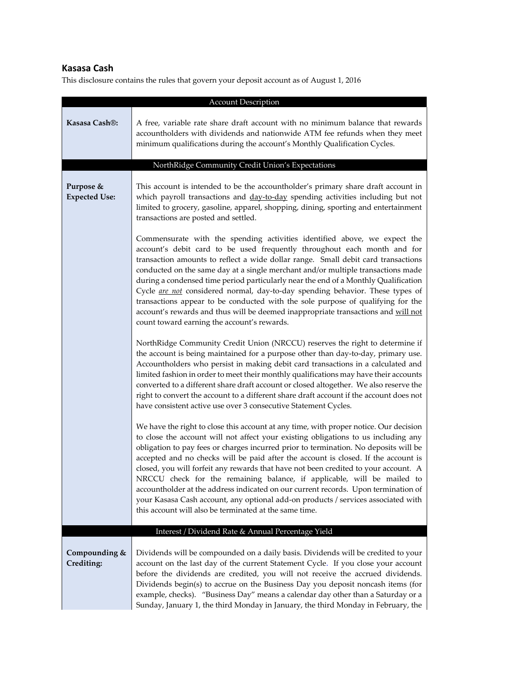# **Kasasa Cash**

| <b>Account Description</b>        |                                                                                                                                                                                                                                                                                                                                                                                                                                                                                                                                                                                                                                                                                                                                                                  |  |
|-----------------------------------|------------------------------------------------------------------------------------------------------------------------------------------------------------------------------------------------------------------------------------------------------------------------------------------------------------------------------------------------------------------------------------------------------------------------------------------------------------------------------------------------------------------------------------------------------------------------------------------------------------------------------------------------------------------------------------------------------------------------------------------------------------------|--|
| Kasasa Cash®:                     | A free, variable rate share draft account with no minimum balance that rewards<br>accountholders with dividends and nationwide ATM fee refunds when they meet<br>minimum qualifications during the account's Monthly Qualification Cycles.                                                                                                                                                                                                                                                                                                                                                                                                                                                                                                                       |  |
|                                   | NorthRidge Community Credit Union's Expectations                                                                                                                                                                                                                                                                                                                                                                                                                                                                                                                                                                                                                                                                                                                 |  |
| Purpose &<br><b>Expected Use:</b> | This account is intended to be the accountholder's primary share draft account in<br>which payroll transactions and day-to-day spending activities including but not<br>limited to grocery, gasoline, apparel, shopping, dining, sporting and entertainment<br>transactions are posted and settled.<br>Commensurate with the spending activities identified above, we expect the                                                                                                                                                                                                                                                                                                                                                                                 |  |
|                                   | account's debit card to be used frequently throughout each month and for<br>transaction amounts to reflect a wide dollar range. Small debit card transactions<br>conducted on the same day at a single merchant and/or multiple transactions made<br>during a condensed time period particularly near the end of a Monthly Qualification<br>Cycle <i>are not</i> considered normal, day-to-day spending behavior. These types of<br>transactions appear to be conducted with the sole purpose of qualifying for the<br>account's rewards and thus will be deemed inappropriate transactions and will not<br>count toward earning the account's rewards.                                                                                                          |  |
|                                   | NorthRidge Community Credit Union (NRCCU) reserves the right to determine if<br>the account is being maintained for a purpose other than day-to-day, primary use.<br>Accountholders who persist in making debit card transactions in a calculated and<br>limited fashion in order to meet their monthly qualifications may have their accounts<br>converted to a different share draft account or closed altogether. We also reserve the<br>right to convert the account to a different share draft account if the account does not<br>have consistent active use over 3 consecutive Statement Cycles.                                                                                                                                                           |  |
|                                   | We have the right to close this account at any time, with proper notice. Our decision<br>to close the account will not affect your existing obligations to us including any<br>obligation to pay fees or charges incurred prior to termination. No deposits will be<br>accepted and no checks will be paid after the account is closed. If the account is<br>closed, you will forfeit any rewards that have not been credited to your account. A<br>NRCCU check for the remaining balance, if applicable, will be mailed to<br>accountholder at the address indicated on our current records. Upon termination of<br>your Kasasa Cash account, any optional add-on products / services associated with<br>this account will also be terminated at the same time. |  |
|                                   | Interest / Dividend Rate & Annual Percentage Yield                                                                                                                                                                                                                                                                                                                                                                                                                                                                                                                                                                                                                                                                                                               |  |
| Compounding &<br>Crediting:       | Dividends will be compounded on a daily basis. Dividends will be credited to your<br>account on the last day of the current Statement Cycle. If you close your account<br>before the dividends are credited, you will not receive the accrued dividends.<br>Dividends begin(s) to accrue on the Business Day you deposit noncash items (for<br>example, checks). "Business Day" means a calendar day other than a Saturday or a<br>Sunday, January 1, the third Monday in January, the third Monday in February, the                                                                                                                                                                                                                                             |  |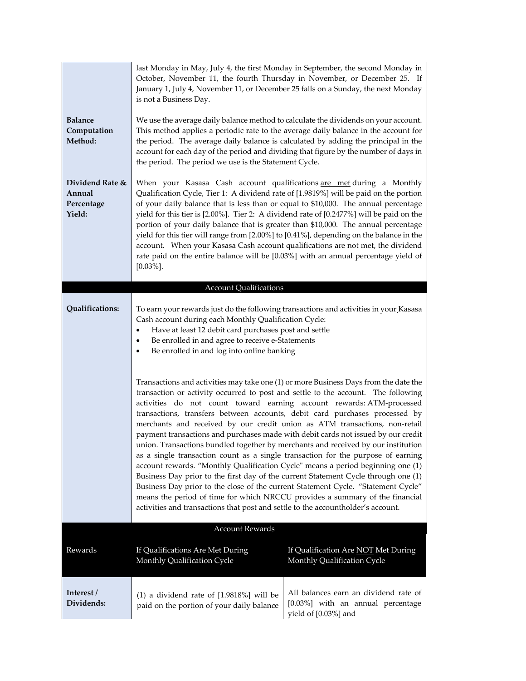|                                                   | last Monday in May, July 4, the first Monday in September, the second Monday in<br>October, November 11, the fourth Thursday in November, or December 25. If<br>January 1, July 4, November 11, or December 25 falls on a Sunday, the next Monday<br>is not a Business Day.                                                                                                                                                                                                                                                                                                                                                                                                                                                                                                                                                                                                                                                                                                                                                                                                                                     |                                                                                                    |  |
|---------------------------------------------------|-----------------------------------------------------------------------------------------------------------------------------------------------------------------------------------------------------------------------------------------------------------------------------------------------------------------------------------------------------------------------------------------------------------------------------------------------------------------------------------------------------------------------------------------------------------------------------------------------------------------------------------------------------------------------------------------------------------------------------------------------------------------------------------------------------------------------------------------------------------------------------------------------------------------------------------------------------------------------------------------------------------------------------------------------------------------------------------------------------------------|----------------------------------------------------------------------------------------------------|--|
| <b>Balance</b><br>Computation<br>Method:          | We use the average daily balance method to calculate the dividends on your account.<br>This method applies a periodic rate to the average daily balance in the account for<br>the period. The average daily balance is calculated by adding the principal in the<br>account for each day of the period and dividing that figure by the number of days in<br>the period. The period we use is the Statement Cycle.                                                                                                                                                                                                                                                                                                                                                                                                                                                                                                                                                                                                                                                                                               |                                                                                                    |  |
| Dividend Rate &<br>Annual<br>Percentage<br>Yield: | When your Kasasa Cash account qualifications are met during a Monthly<br>Qualification Cycle, Tier 1: A dividend rate of [1.9819%] will be paid on the portion<br>of your daily balance that is less than or equal to \$10,000. The annual percentage<br>yield for this tier is [2.00%]. Tier 2: A dividend rate of [0.2477%] will be paid on the<br>portion of your daily balance that is greater than \$10,000. The annual percentage<br>yield for this tier will range from [2.00%] to [0.41%], depending on the balance in the<br>account. When your Kasasa Cash account qualifications are not met, the dividend<br>rate paid on the entire balance will be [0.03%] with an annual percentage yield of<br>$[0.03\%]$ .                                                                                                                                                                                                                                                                                                                                                                                     |                                                                                                    |  |
| <b>Account Qualifications</b>                     |                                                                                                                                                                                                                                                                                                                                                                                                                                                                                                                                                                                                                                                                                                                                                                                                                                                                                                                                                                                                                                                                                                                 |                                                                                                    |  |
| Qualifications:                                   | To earn your rewards just do the following transactions and activities in your Kasasa<br>Cash account during each Monthly Qualification Cycle:<br>Have at least 12 debit card purchases post and settle<br>Be enrolled in and agree to receive e-Statements<br>٠<br>Be enrolled in and log into online banking<br>٠                                                                                                                                                                                                                                                                                                                                                                                                                                                                                                                                                                                                                                                                                                                                                                                             |                                                                                                    |  |
|                                                   | Transactions and activities may take one (1) or more Business Days from the date the<br>transaction or activity occurred to post and settle to the account. The following<br>activities do not count toward earning account rewards: ATM-processed<br>transactions, transfers between accounts, debit card purchases processed by<br>merchants and received by our credit union as ATM transactions, non-retail<br>payment transactions and purchases made with debit cards not issued by our credit<br>union. Transactions bundled together by merchants and received by our institution<br>as a single transaction count as a single transaction for the purpose of earning<br>account rewards. "Monthly Qualification Cycle" means a period beginning one (1)<br>Business Day prior to the first day of the current Statement Cycle through one (1)<br>Business Day prior to the close of the current Statement Cycle. "Statement Cycle"<br>means the period of time for which NRCCU provides a summary of the financial<br>activities and transactions that post and settle to the accountholder's account. |                                                                                                    |  |
|                                                   | <b>Account Rewards</b>                                                                                                                                                                                                                                                                                                                                                                                                                                                                                                                                                                                                                                                                                                                                                                                                                                                                                                                                                                                                                                                                                          |                                                                                                    |  |
| Rewards                                           | If Qualifications Are Met During<br>Monthly Qualification Cycle                                                                                                                                                                                                                                                                                                                                                                                                                                                                                                                                                                                                                                                                                                                                                                                                                                                                                                                                                                                                                                                 | If Qualification Are NOT Met During<br>Monthly Qualification Cycle                                 |  |
| Interest /<br>Dividends:                          | $(1)$ a dividend rate of $[1.9818\%]$ will be<br>paid on the portion of your daily balance                                                                                                                                                                                                                                                                                                                                                                                                                                                                                                                                                                                                                                                                                                                                                                                                                                                                                                                                                                                                                      | All balances earn an dividend rate of<br>[0.03%] with an annual percentage<br>yield of [0.03%] and |  |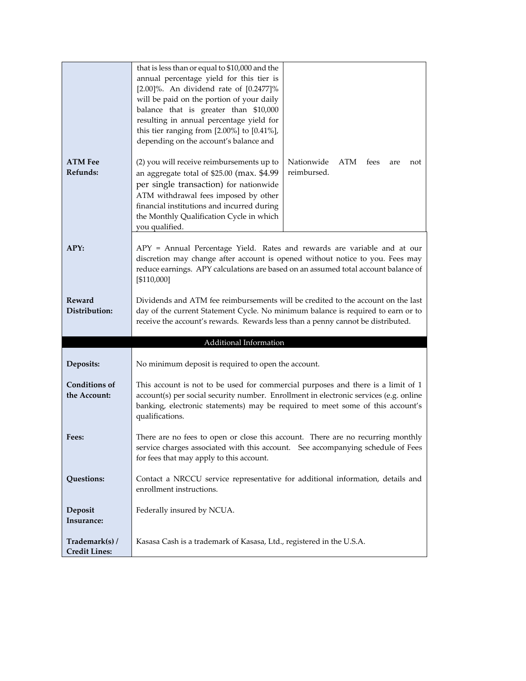|                                        | that is less than or equal to \$10,000 and the<br>annual percentage yield for this tier is                                                                                                                                                                     |  |
|----------------------------------------|----------------------------------------------------------------------------------------------------------------------------------------------------------------------------------------------------------------------------------------------------------------|--|
|                                        | $[2.00]\%$ . An dividend rate of $[0.2477]\%$<br>will be paid on the portion of your daily                                                                                                                                                                     |  |
|                                        | balance that is greater than \$10,000<br>resulting in annual percentage yield for                                                                                                                                                                              |  |
|                                        | this tier ranging from $[2.00\%]$ to $[0.41\%]$ ,<br>depending on the account's balance and                                                                                                                                                                    |  |
|                                        |                                                                                                                                                                                                                                                                |  |
| <b>ATM Fee</b><br>Refunds:             | (2) you will receive reimbursements up to<br>Nationwide<br>ATM<br>fees<br>not<br>are<br>reimbursed.<br>an aggregate total of \$25.00 (max. \$4.99                                                                                                              |  |
|                                        | per single transaction) for nationwide<br>ATM withdrawal fees imposed by other                                                                                                                                                                                 |  |
|                                        | financial institutions and incurred during                                                                                                                                                                                                                     |  |
|                                        | the Monthly Qualification Cycle in which<br>you qualified.                                                                                                                                                                                                     |  |
| APY:                                   | APY = Annual Percentage Yield. Rates and rewards are variable and at our<br>discretion may change after account is opened without notice to you. Fees may<br>reduce earnings. APY calculations are based on an assumed total account balance of<br>[\$110,000] |  |
| <b>Reward</b>                          | Dividends and ATM fee reimbursements will be credited to the account on the last                                                                                                                                                                               |  |
| Distribution:                          | day of the current Statement Cycle. No minimum balance is required to earn or to<br>receive the account's rewards. Rewards less than a penny cannot be distributed.                                                                                            |  |
|                                        | Additional Information                                                                                                                                                                                                                                         |  |
|                                        |                                                                                                                                                                                                                                                                |  |
| Deposits:                              | No minimum deposit is required to open the account.                                                                                                                                                                                                            |  |
| <b>Conditions of</b><br>the Account:   | This account is not to be used for commercial purposes and there is a limit of 1<br>account(s) per social security number. Enrollment in electronic services (e.g. online                                                                                      |  |
|                                        | banking, electronic statements) may be required to meet some of this account's<br>qualifications.                                                                                                                                                              |  |
| Fees:                                  | There are no fees to open or close this account. There are no recurring monthly<br>service charges associated with this account. See accompanying schedule of Fees                                                                                             |  |
|                                        | for fees that may apply to this account.                                                                                                                                                                                                                       |  |
| Questions:                             | Contact a NRCCU service representative for additional information, details and<br>enrollment instructions.                                                                                                                                                     |  |
| Deposit                                | Federally insured by NCUA.                                                                                                                                                                                                                                     |  |
| Insurance:                             |                                                                                                                                                                                                                                                                |  |
| Trademark(s) /<br><b>Credit Lines:</b> | Kasasa Cash is a trademark of Kasasa, Ltd., registered in the U.S.A.                                                                                                                                                                                           |  |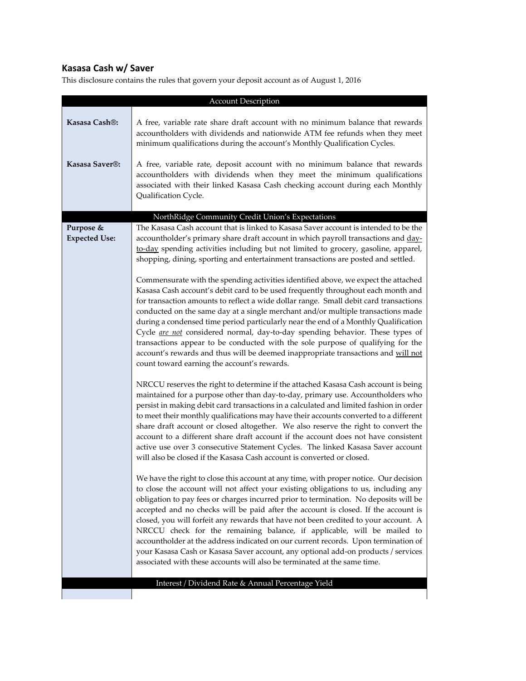# **Kasasa Cash w/ Saver**

| <b>Account Description</b>        |                                                                                                                                                                                                                                                                                                                                                                                                                                                                                                                                                                                                                                                                                                                                                                                     |  |  |
|-----------------------------------|-------------------------------------------------------------------------------------------------------------------------------------------------------------------------------------------------------------------------------------------------------------------------------------------------------------------------------------------------------------------------------------------------------------------------------------------------------------------------------------------------------------------------------------------------------------------------------------------------------------------------------------------------------------------------------------------------------------------------------------------------------------------------------------|--|--|
| Kasasa Cash®:                     | A free, variable rate share draft account with no minimum balance that rewards<br>accountholders with dividends and nationwide ATM fee refunds when they meet<br>minimum qualifications during the account's Monthly Qualification Cycles.                                                                                                                                                                                                                                                                                                                                                                                                                                                                                                                                          |  |  |
| Kasasa Saver <sup>®</sup> :       | A free, variable rate, deposit account with no minimum balance that rewards<br>accountholders with dividends when they meet the minimum qualifications<br>associated with their linked Kasasa Cash checking account during each Monthly<br>Qualification Cycle.                                                                                                                                                                                                                                                                                                                                                                                                                                                                                                                     |  |  |
|                                   |                                                                                                                                                                                                                                                                                                                                                                                                                                                                                                                                                                                                                                                                                                                                                                                     |  |  |
| Purpose &<br><b>Expected Use:</b> | NorthRidge Community Credit Union's Expectations<br>The Kasasa Cash account that is linked to Kasasa Saver account is intended to be the<br>accountholder's primary share draft account in which payroll transactions and day-<br>to-day spending activities including but not limited to grocery, gasoline, apparel,<br>shopping, dining, sporting and entertainment transactions are posted and settled.<br>Commensurate with the spending activities identified above, we expect the attached<br>Kasasa Cash account's debit card to be used frequently throughout each month and                                                                                                                                                                                                |  |  |
|                                   | for transaction amounts to reflect a wide dollar range. Small debit card transactions<br>conducted on the same day at a single merchant and/or multiple transactions made<br>during a condensed time period particularly near the end of a Monthly Qualification<br>Cycle <i>are not</i> considered normal, day-to-day spending behavior. These types of<br>transactions appear to be conducted with the sole purpose of qualifying for the<br>account's rewards and thus will be deemed inappropriate transactions and will not<br>count toward earning the account's rewards.                                                                                                                                                                                                     |  |  |
|                                   | NRCCU reserves the right to determine if the attached Kasasa Cash account is being<br>maintained for a purpose other than day-to-day, primary use. Accountholders who<br>persist in making debit card transactions in a calculated and limited fashion in order<br>to meet their monthly qualifications may have their accounts converted to a different<br>share draft account or closed altogether. We also reserve the right to convert the<br>account to a different share draft account if the account does not have consistent<br>active use over 3 consecutive Statement Cycles. The linked Kasasa Saver account<br>will also be closed if the Kasasa Cash account is converted or closed.                                                                                   |  |  |
|                                   | We have the right to close this account at any time, with proper notice. Our decision<br>to close the account will not affect your existing obligations to us, including any<br>obligation to pay fees or charges incurred prior to termination. No deposits will be<br>accepted and no checks will be paid after the account is closed. If the account is<br>closed, you will forfeit any rewards that have not been credited to your account. A<br>NRCCU check for the remaining balance, if applicable, will be mailed to<br>accountholder at the address indicated on our current records. Upon termination of<br>your Kasasa Cash or Kasasa Saver account, any optional add-on products / services<br>associated with these accounts will also be terminated at the same time. |  |  |
|                                   | Interest / Dividend Rate & Annual Percentage Yield                                                                                                                                                                                                                                                                                                                                                                                                                                                                                                                                                                                                                                                                                                                                  |  |  |
|                                   |                                                                                                                                                                                                                                                                                                                                                                                                                                                                                                                                                                                                                                                                                                                                                                                     |  |  |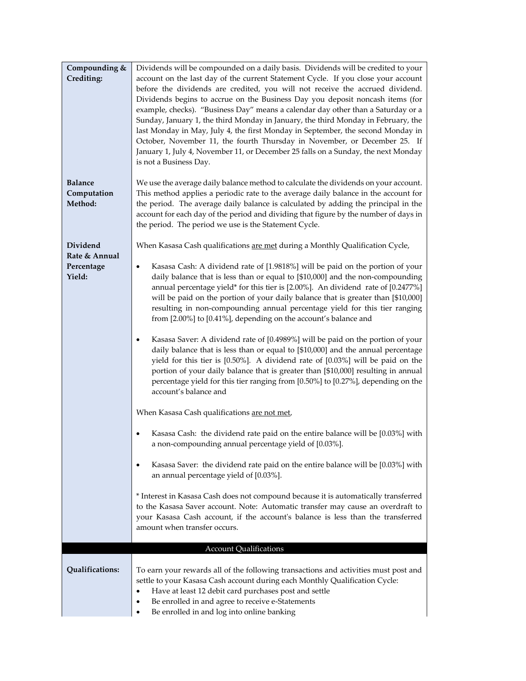| Compounding &<br>Crediting:              | Dividends will be compounded on a daily basis. Dividends will be credited to your<br>account on the last day of the current Statement Cycle. If you close your account<br>before the dividends are credited, you will not receive the accrued dividend.<br>Dividends begins to accrue on the Business Day you deposit noncash items (for<br>example, checks). "Business Day" means a calendar day other than a Saturday or a<br>Sunday, January 1, the third Monday in January, the third Monday in February, the<br>last Monday in May, July 4, the first Monday in September, the second Monday in<br>October, November 11, the fourth Thursday in November, or December 25. If<br>January 1, July 4, November 11, or December 25 falls on a Sunday, the next Monday<br>is not a Business Day. |  |  |
|------------------------------------------|--------------------------------------------------------------------------------------------------------------------------------------------------------------------------------------------------------------------------------------------------------------------------------------------------------------------------------------------------------------------------------------------------------------------------------------------------------------------------------------------------------------------------------------------------------------------------------------------------------------------------------------------------------------------------------------------------------------------------------------------------------------------------------------------------|--|--|
| <b>Balance</b><br>Computation<br>Method: | We use the average daily balance method to calculate the dividends on your account.<br>This method applies a periodic rate to the average daily balance in the account for<br>the period. The average daily balance is calculated by adding the principal in the<br>account for each day of the period and dividing that figure by the number of days in<br>the period. The period we use is the Statement Cycle.                                                                                                                                                                                                                                                                                                                                                                                |  |  |
| Dividend                                 | When Kasasa Cash qualifications are met during a Monthly Qualification Cycle,                                                                                                                                                                                                                                                                                                                                                                                                                                                                                                                                                                                                                                                                                                                    |  |  |
| Rate & Annual<br>Percentage<br>Yield:    | Kasasa Cash: A dividend rate of [1.9818%] will be paid on the portion of your<br>daily balance that is less than or equal to [\$10,000] and the non-compounding<br>annual percentage yield* for this tier is [2.00%]. An dividend rate of [0.2477%]<br>will be paid on the portion of your daily balance that is greater than [\$10,000]<br>resulting in non-compounding annual percentage yield for this tier ranging<br>from [2.00%] to [0.41%], depending on the account's balance and                                                                                                                                                                                                                                                                                                        |  |  |
|                                          | Kasasa Saver: A dividend rate of [0.4989%] will be paid on the portion of your<br>$\bullet$<br>daily balance that is less than or equal to [\$10,000] and the annual percentage<br>yield for this tier is [0.50%]. A dividend rate of [0.03%] will be paid on the<br>portion of your daily balance that is greater than [\$10,000] resulting in annual<br>percentage yield for this tier ranging from [0.50%] to [0.27%], depending on the<br>account's balance and                                                                                                                                                                                                                                                                                                                              |  |  |
|                                          | When Kasasa Cash qualifications are not met.                                                                                                                                                                                                                                                                                                                                                                                                                                                                                                                                                                                                                                                                                                                                                     |  |  |
|                                          | Kasasa Cash: the dividend rate paid on the entire balance will be [0.03%] with<br>٠<br>a non-compounding annual percentage yield of [0.03%].                                                                                                                                                                                                                                                                                                                                                                                                                                                                                                                                                                                                                                                     |  |  |
|                                          | Kasasa Saver: the dividend rate paid on the entire balance will be [0.03%] with<br>$\bullet$<br>an annual percentage yield of [0.03%].                                                                                                                                                                                                                                                                                                                                                                                                                                                                                                                                                                                                                                                           |  |  |
|                                          | * Interest in Kasasa Cash does not compound because it is automatically transferred<br>to the Kasasa Saver account. Note: Automatic transfer may cause an overdraft to<br>your Kasasa Cash account, if the account's balance is less than the transferred<br>amount when transfer occurs.                                                                                                                                                                                                                                                                                                                                                                                                                                                                                                        |  |  |
|                                          | <b>Account Qualifications</b>                                                                                                                                                                                                                                                                                                                                                                                                                                                                                                                                                                                                                                                                                                                                                                    |  |  |
| Qualifications:                          | To earn your rewards all of the following transactions and activities must post and<br>settle to your Kasasa Cash account during each Monthly Qualification Cycle:<br>Have at least 12 debit card purchases post and settle<br>$\bullet$<br>Be enrolled in and agree to receive e-Statements<br>$\bullet$<br>Be enrolled in and log into online banking                                                                                                                                                                                                                                                                                                                                                                                                                                          |  |  |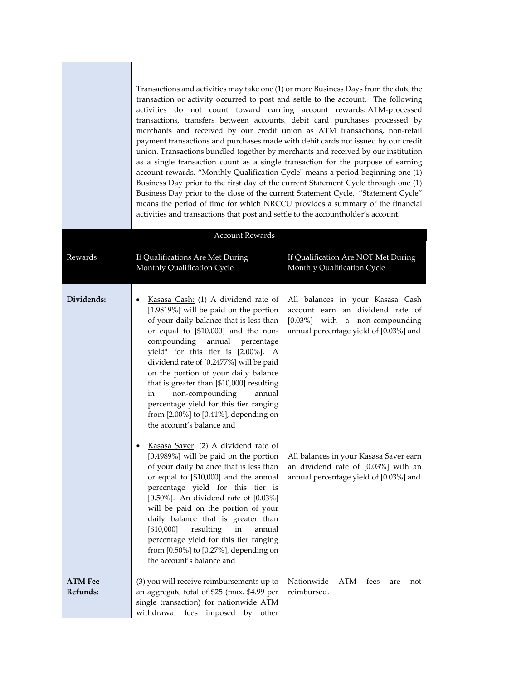|                            | Transactions and activities may take one (1) or more Business Days from the date the<br>transaction or activity occurred to post and settle to the account. The following<br>activities do not count toward earning account rewards: ATM-processed<br>transactions, transfers between accounts, debit card purchases processed by<br>merchants and received by our credit union as ATM transactions, non-retail<br>payment transactions and purchases made with debit cards not issued by our credit<br>union. Transactions bundled together by merchants and received by our institution<br>as a single transaction count as a single transaction for the purpose of earning<br>account rewards. "Monthly Qualification Cycle" means a period beginning one (1)<br>Business Day prior to the first day of the current Statement Cycle through one (1)<br>Business Day prior to the close of the current Statement Cycle. "Statement Cycle"<br>means the period of time for which NRCCU provides a summary of the financial<br>activities and transactions that post and settle to the accountholder's account. |                                                                                                                                                                                            |
|----------------------------|-----------------------------------------------------------------------------------------------------------------------------------------------------------------------------------------------------------------------------------------------------------------------------------------------------------------------------------------------------------------------------------------------------------------------------------------------------------------------------------------------------------------------------------------------------------------------------------------------------------------------------------------------------------------------------------------------------------------------------------------------------------------------------------------------------------------------------------------------------------------------------------------------------------------------------------------------------------------------------------------------------------------------------------------------------------------------------------------------------------------|--------------------------------------------------------------------------------------------------------------------------------------------------------------------------------------------|
|                            | <b>Account Rewards</b>                                                                                                                                                                                                                                                                                                                                                                                                                                                                                                                                                                                                                                                                                                                                                                                                                                                                                                                                                                                                                                                                                          |                                                                                                                                                                                            |
| Rewards                    | If Qualifications Are Met During<br>Monthly Qualification Cycle                                                                                                                                                                                                                                                                                                                                                                                                                                                                                                                                                                                                                                                                                                                                                                                                                                                                                                                                                                                                                                                 | If Qualification Are NOT Met During<br>Monthly Qualification Cycle                                                                                                                         |
| Dividends:                 | Kasasa Cash: (1) A dividend rate of<br>[1.9819%] will be paid on the portion<br>of your daily balance that is less than<br>or equal to [\$10,000] and the non-<br>compounding annual percentage<br>yield* for this tier is [2.00%]. A<br>dividend rate of [0.2477%] will be paid<br>on the portion of your daily balance<br>that is greater than [\$10,000] resulting<br>non-compounding<br>annual<br>in<br>percentage yield for this tier ranging<br>from $[2.00\%]$ to $[0.41\%]$ , depending on<br>the account's balance and<br>Kasasa Saver: (2) A dividend rate of<br>[0.4989%] will be paid on the portion                                                                                                                                                                                                                                                                                                                                                                                                                                                                                                | All balances in your Kasasa Cash<br>account earn an dividend rate of<br>[0.03%] with a non-compounding<br>annual percentage yield of [0.03%] and<br>All balances in your Kasasa Saver earn |
|                            | of your daily balance that is less than<br>or equal to [\$10,000] and the annual<br>percentage yield for this tier is<br>$[0.50\%]$ . An dividend rate of $[0.03\%]$<br>will be paid on the portion of your<br>daily balance that is greater than<br>[\$10,000]<br>resulting<br>in<br>annual<br>percentage yield for this tier ranging<br>from [0.50%] to [0.27%], depending on<br>the account's balance and                                                                                                                                                                                                                                                                                                                                                                                                                                                                                                                                                                                                                                                                                                    | an dividend rate of [0.03%] with an<br>annual percentage yield of [0.03%] and                                                                                                              |
| <b>ATM Fee</b><br>Refunds: | (3) you will receive reimbursements up to<br>an aggregate total of \$25 (max. \$4.99 per<br>single transaction) for nationwide ATM<br>withdrawal fees imposed by other                                                                                                                                                                                                                                                                                                                                                                                                                                                                                                                                                                                                                                                                                                                                                                                                                                                                                                                                          | Nationwide<br>ATM<br>fees<br>are<br>not<br>reimbursed.                                                                                                                                     |

the control of the control of the control of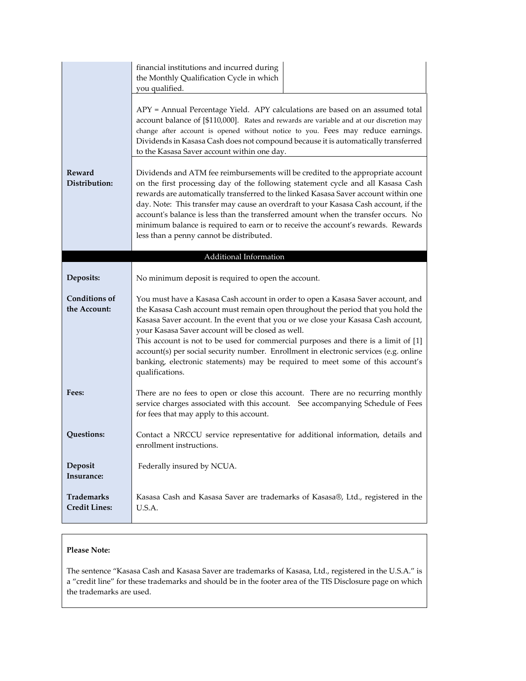|                                           | financial institutions and incurred during<br>the Monthly Qualification Cycle in which<br>you qualified.                                                                                                                                                                                                                                                                                                                                                                                                                                                                                           |  |  |
|-------------------------------------------|----------------------------------------------------------------------------------------------------------------------------------------------------------------------------------------------------------------------------------------------------------------------------------------------------------------------------------------------------------------------------------------------------------------------------------------------------------------------------------------------------------------------------------------------------------------------------------------------------|--|--|
|                                           | APY = Annual Percentage Yield. APY calculations are based on an assumed total<br>account balance of [\$110,000]. Rates and rewards are variable and at our discretion may<br>change after account is opened without notice to you. Fees may reduce earnings.<br>Dividends in Kasasa Cash does not compound because it is automatically transferred<br>to the Kasasa Saver account within one day.                                                                                                                                                                                                  |  |  |
| Reward<br>Distribution:                   | Dividends and ATM fee reimbursements will be credited to the appropriate account<br>on the first processing day of the following statement cycle and all Kasasa Cash<br>rewards are automatically transferred to the linked Kasasa Saver account within one<br>day. Note: This transfer may cause an overdraft to your Kasasa Cash account, if the<br>account's balance is less than the transferred amount when the transfer occurs. No<br>minimum balance is required to earn or to receive the account's rewards. Rewards<br>less than a penny cannot be distributed.                           |  |  |
|                                           | Additional Information                                                                                                                                                                                                                                                                                                                                                                                                                                                                                                                                                                             |  |  |
| Deposits:                                 | No minimum deposit is required to open the account.                                                                                                                                                                                                                                                                                                                                                                                                                                                                                                                                                |  |  |
| <b>Conditions of</b><br>the Account:      | You must have a Kasasa Cash account in order to open a Kasasa Saver account, and<br>the Kasasa Cash account must remain open throughout the period that you hold the<br>Kasasa Saver account. In the event that you or we close your Kasasa Cash account,<br>your Kasasa Saver account will be closed as well.<br>This account is not to be used for commercial purposes and there is a limit of [1]<br>account(s) per social security number. Enrollment in electronic services (e.g. online<br>banking, electronic statements) may be required to meet some of this account's<br>qualifications. |  |  |
| Fees:                                     | There are no fees to open or close this account. There are no recurring monthly<br>service charges associated with this account. See accompanying Schedule of Fees<br>for fees that may apply to this account.                                                                                                                                                                                                                                                                                                                                                                                     |  |  |
| Questions:                                | Contact a NRCCU service representative for additional information, details and<br>enrollment instructions.                                                                                                                                                                                                                                                                                                                                                                                                                                                                                         |  |  |
| Deposit<br>Insurance:                     | Federally insured by NCUA.                                                                                                                                                                                                                                                                                                                                                                                                                                                                                                                                                                         |  |  |
| <b>Trademarks</b><br><b>Credit Lines:</b> | Kasasa Cash and Kasasa Saver are trademarks of Kasasa®, Ltd., registered in the<br>U.S.A.                                                                                                                                                                                                                                                                                                                                                                                                                                                                                                          |  |  |

#### **Please Note:**

The sentence "Kasasa Cash and Kasasa Saver are trademarks of Kasasa, Ltd., registered in the U.S.A." is a "credit line" for these trademarks and should be in the footer area of the TIS Disclosure page on which the trademarks are used.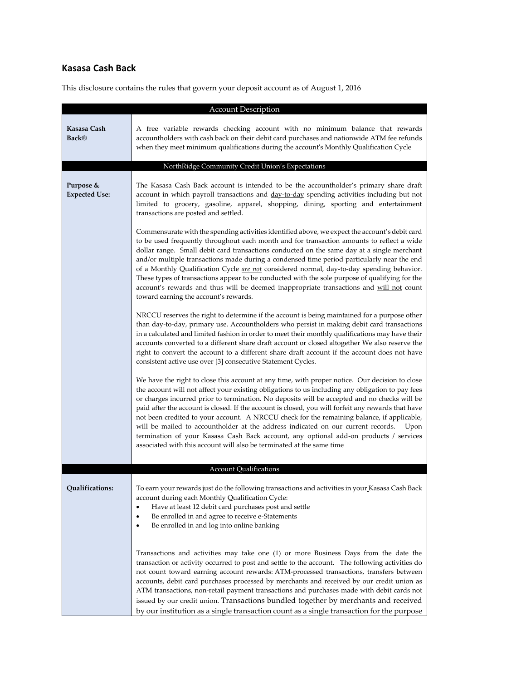## **Kasasa Cash Back**

| <b>Account Description</b>                                                                   |                                                                                                                                                                                                                                                                                                                                                                                                                                                                                                                                                                                                                                                                                                                                                                      |  |  |
|----------------------------------------------------------------------------------------------|----------------------------------------------------------------------------------------------------------------------------------------------------------------------------------------------------------------------------------------------------------------------------------------------------------------------------------------------------------------------------------------------------------------------------------------------------------------------------------------------------------------------------------------------------------------------------------------------------------------------------------------------------------------------------------------------------------------------------------------------------------------------|--|--|
| Kasasa Cash<br>Back®                                                                         | A free variable rewards checking account with no minimum balance that rewards<br>accountholders with cash back on their debit card purchases and nationwide ATM fee refunds<br>when they meet minimum qualifications during the account's Monthly Qualification Cycle                                                                                                                                                                                                                                                                                                                                                                                                                                                                                                |  |  |
|                                                                                              | NorthRidge Community Credit Union's Expectations                                                                                                                                                                                                                                                                                                                                                                                                                                                                                                                                                                                                                                                                                                                     |  |  |
| Purpose &<br><b>Expected Use:</b>                                                            | The Kasasa Cash Back account is intended to be the accountholder's primary share draft<br>account in which payroll transactions and day-to-day spending activities including but not<br>limited to grocery, gasoline, apparel, shopping, dining, sporting and entertainment<br>transactions are posted and settled.                                                                                                                                                                                                                                                                                                                                                                                                                                                  |  |  |
|                                                                                              | Commensurate with the spending activities identified above, we expect the account's debit card<br>to be used frequently throughout each month and for transaction amounts to reflect a wide<br>dollar range. Small debit card transactions conducted on the same day at a single merchant<br>and/or multiple transactions made during a condensed time period particularly near the end<br>of a Monthly Qualification Cycle are not considered normal, day-to-day spending behavior.<br>These types of transactions appear to be conducted with the sole purpose of qualifying for the<br>account's rewards and thus will be deemed inappropriate transactions and will not count<br>toward earning the account's rewards.                                           |  |  |
|                                                                                              | NRCCU reserves the right to determine if the account is being maintained for a purpose other<br>than day-to-day, primary use. Accountholders who persist in making debit card transactions<br>in a calculated and limited fashion in order to meet their monthly qualifications may have their<br>accounts converted to a different share draft account or closed altogether We also reserve the<br>right to convert the account to a different share draft account if the account does not have<br>consistent active use over [3] consecutive Statement Cycles.                                                                                                                                                                                                     |  |  |
|                                                                                              | We have the right to close this account at any time, with proper notice. Our decision to close<br>the account will not affect your existing obligations to us including any obligation to pay fees<br>or charges incurred prior to termination. No deposits will be accepted and no checks will be<br>paid after the account is closed. If the account is closed, you will forfeit any rewards that have<br>not been credited to your account. A NRCCU check for the remaining balance, if applicable,<br>will be mailed to accountholder at the address indicated on our current records.<br>Upon<br>termination of your Kasasa Cash Back account, any optional add-on products / services<br>associated with this account will also be terminated at the same time |  |  |
|                                                                                              | <b>Account Qualifications</b>                                                                                                                                                                                                                                                                                                                                                                                                                                                                                                                                                                                                                                                                                                                                        |  |  |
| Qualifications:<br>٠<br>$\bullet$<br>Be enrolled in and log into online banking<br>$\bullet$ | To earn your rewards just do the following transactions and activities in your Kasasa Cash Back<br>account during each Monthly Qualification Cycle:<br>Have at least 12 debit card purchases post and settle<br>Be enrolled in and agree to receive e-Statements                                                                                                                                                                                                                                                                                                                                                                                                                                                                                                     |  |  |
|                                                                                              | Transactions and activities may take one (1) or more Business Days from the date the<br>transaction or activity occurred to post and settle to the account. The following activities do<br>not count toward earning account rewards: ATM-processed transactions, transfers between<br>accounts, debit card purchases processed by merchants and received by our credit union as<br>ATM transactions, non-retail payment transactions and purchases made with debit cards not<br>issued by our credit union. Transactions bundled together by merchants and received<br>by our institution as a single transaction count as a single transaction for the purpose                                                                                                      |  |  |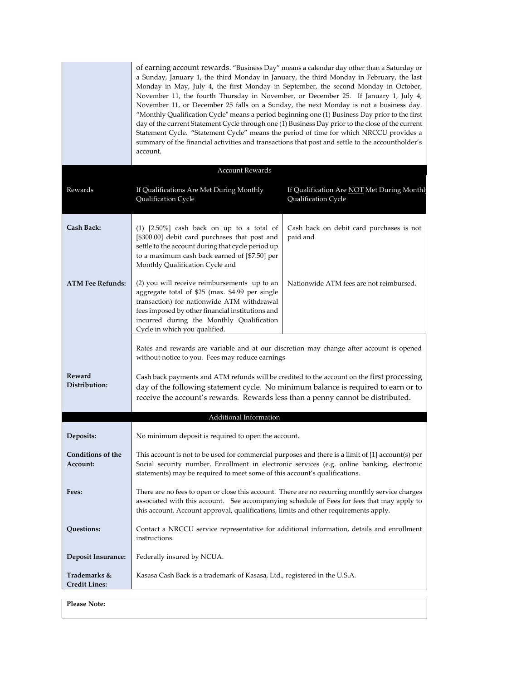|                                      | of earning account rewards. "Business Day" means a calendar day other than a Saturday or<br>a Sunday, January 1, the third Monday in January, the third Monday in February, the last<br>Monday in May, July 4, the first Monday in September, the second Monday in October,<br>November 11, the fourth Thursday in November, or December 25. If January 1, July 4,<br>November 11, or December 25 falls on a Sunday, the next Monday is not a business day.<br>"Monthly Qualification Cycle" means a period beginning one (1) Business Day prior to the first<br>day of the current Statement Cycle through one (1) Business Day prior to the close of the current<br>Statement Cycle. "Statement Cycle" means the period of time for which NRCCU provides a<br>summary of the financial activities and transactions that post and settle to the accountholder's<br>account. |                                                                   |
|--------------------------------------|------------------------------------------------------------------------------------------------------------------------------------------------------------------------------------------------------------------------------------------------------------------------------------------------------------------------------------------------------------------------------------------------------------------------------------------------------------------------------------------------------------------------------------------------------------------------------------------------------------------------------------------------------------------------------------------------------------------------------------------------------------------------------------------------------------------------------------------------------------------------------|-------------------------------------------------------------------|
|                                      | <b>Account Rewards</b>                                                                                                                                                                                                                                                                                                                                                                                                                                                                                                                                                                                                                                                                                                                                                                                                                                                       |                                                                   |
| Rewards                              | If Qualifications Are Met During Monthly<br>Qualification Cycle                                                                                                                                                                                                                                                                                                                                                                                                                                                                                                                                                                                                                                                                                                                                                                                                              | If Qualification Are NOT Met During Monthl<br>Qualification Cycle |
| Cash Back:                           | $(1)$ $[2.50\%]$ cash back on up to a total of<br>[\$300.00] debit card purchases that post and<br>settle to the account during that cycle period up<br>to a maximum cash back earned of [\$7.50] per<br>Monthly Qualification Cycle and                                                                                                                                                                                                                                                                                                                                                                                                                                                                                                                                                                                                                                     | Cash back on debit card purchases is not<br>paid and              |
| <b>ATM Fee Refunds:</b>              | (2) you will receive reimbursements up to an<br>aggregate total of \$25 (max. \$4.99 per single<br>transaction) for nationwide ATM withdrawal<br>fees imposed by other financial institutions and<br>incurred during the Monthly Qualification<br>Cycle in which you qualified.                                                                                                                                                                                                                                                                                                                                                                                                                                                                                                                                                                                              | Nationwide ATM fees are not reimbursed.                           |
| Reward<br>Distribution:              | Rates and rewards are variable and at our discretion may change after account is opened<br>without notice to you. Fees may reduce earnings<br>Cash back payments and ATM refunds will be credited to the account on the first processing<br>day of the following statement cycle. No minimum balance is required to earn or to<br>receive the account's rewards. Rewards less than a penny cannot be distributed.                                                                                                                                                                                                                                                                                                                                                                                                                                                            |                                                                   |
|                                      | Additional Information                                                                                                                                                                                                                                                                                                                                                                                                                                                                                                                                                                                                                                                                                                                                                                                                                                                       |                                                                   |
| Deposits:                            | No minimum deposit is required to open the account.                                                                                                                                                                                                                                                                                                                                                                                                                                                                                                                                                                                                                                                                                                                                                                                                                          |                                                                   |
| Conditions of the<br>Account:        | This account is not to be used for commercial purposes and there is a limit of [1] account(s) per<br>Social security number. Enrollment in electronic services (e.g. online banking, electronic<br>statements) may be required to meet some of this account's qualifications.                                                                                                                                                                                                                                                                                                                                                                                                                                                                                                                                                                                                |                                                                   |
| Fees:                                | There are no fees to open or close this account. There are no recurring monthly service charges<br>associated with this account. See accompanying schedule of Fees for fees that may apply to<br>this account. Account approval, qualifications, limits and other requirements apply.                                                                                                                                                                                                                                                                                                                                                                                                                                                                                                                                                                                        |                                                                   |
| Questions:                           | Contact a NRCCU service representative for additional information, details and enrollment<br>instructions.                                                                                                                                                                                                                                                                                                                                                                                                                                                                                                                                                                                                                                                                                                                                                                   |                                                                   |
| <b>Deposit Insurance:</b>            | Federally insured by NCUA.                                                                                                                                                                                                                                                                                                                                                                                                                                                                                                                                                                                                                                                                                                                                                                                                                                                   |                                                                   |
| Trademarks &<br><b>Credit Lines:</b> | Kasasa Cash Back is a trademark of Kasasa, Ltd., registered in the U.S.A.                                                                                                                                                                                                                                                                                                                                                                                                                                                                                                                                                                                                                                                                                                                                                                                                    |                                                                   |

**Please Note:**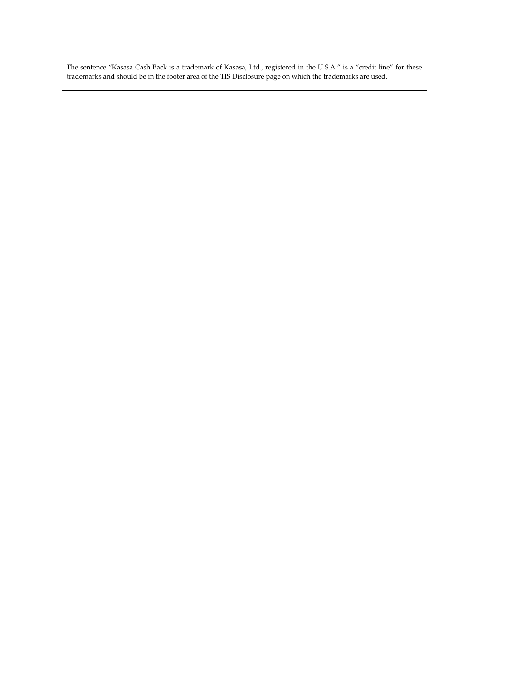The sentence "Kasasa Cash Back is a trademark of Kasasa, Ltd., registered in the U.S.A." is a "credit line" for these trademarks and should be in the footer area of the TIS Disclosure page on which the trademarks are used.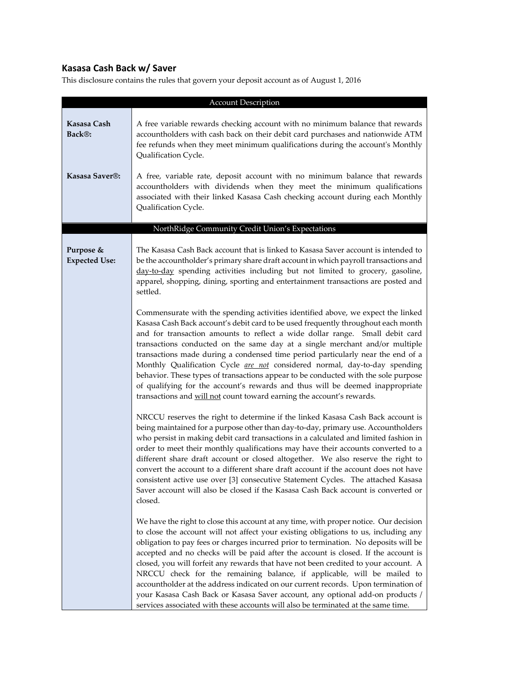## **Kasasa Cash Back w/ Saver**

| <b>Account Description</b>         |                                                                                                                                                                                                                                                                                                                                                                                                                                                                                                                                                                                                                                                                                                                                                                                          |  |  |
|------------------------------------|------------------------------------------------------------------------------------------------------------------------------------------------------------------------------------------------------------------------------------------------------------------------------------------------------------------------------------------------------------------------------------------------------------------------------------------------------------------------------------------------------------------------------------------------------------------------------------------------------------------------------------------------------------------------------------------------------------------------------------------------------------------------------------------|--|--|
| Kasasa Cash<br>Back <sup>®</sup> : | A free variable rewards checking account with no minimum balance that rewards<br>accountholders with cash back on their debit card purchases and nationwide ATM<br>fee refunds when they meet minimum qualifications during the account's Monthly<br>Qualification Cycle.                                                                                                                                                                                                                                                                                                                                                                                                                                                                                                                |  |  |
| Kasasa Saver®:                     | A free, variable rate, deposit account with no minimum balance that rewards<br>accountholders with dividends when they meet the minimum qualifications<br>associated with their linked Kasasa Cash checking account during each Monthly<br>Qualification Cycle.                                                                                                                                                                                                                                                                                                                                                                                                                                                                                                                          |  |  |
|                                    | NorthRidge Community Credit Union's Expectations                                                                                                                                                                                                                                                                                                                                                                                                                                                                                                                                                                                                                                                                                                                                         |  |  |
| Purpose &<br><b>Expected Use:</b>  | The Kasasa Cash Back account that is linked to Kasasa Saver account is intended to<br>be the accountholder's primary share draft account in which payroll transactions and<br>day-to-day spending activities including but not limited to grocery, gasoline,<br>apparel, shopping, dining, sporting and entertainment transactions are posted and<br>settled.                                                                                                                                                                                                                                                                                                                                                                                                                            |  |  |
|                                    | Commensurate with the spending activities identified above, we expect the linked<br>Kasasa Cash Back account's debit card to be used frequently throughout each month<br>and for transaction amounts to reflect a wide dollar range. Small debit card<br>transactions conducted on the same day at a single merchant and/or multiple<br>transactions made during a condensed time period particularly near the end of a<br>Monthly Qualification Cycle are not considered normal, day-to-day spending<br>behavior. These types of transactions appear to be conducted with the sole purpose<br>of qualifying for the account's rewards and thus will be deemed inappropriate<br>transactions and will not count toward earning the account's rewards.                                    |  |  |
|                                    | NRCCU reserves the right to determine if the linked Kasasa Cash Back account is<br>being maintained for a purpose other than day-to-day, primary use. Accountholders<br>who persist in making debit card transactions in a calculated and limited fashion in<br>order to meet their monthly qualifications may have their accounts converted to a<br>different share draft account or closed altogether. We also reserve the right to<br>convert the account to a different share draft account if the account does not have<br>consistent active use over [3] consecutive Statement Cycles. The attached Kasasa<br>Saver account will also be closed if the Kasasa Cash Back account is converted or<br>closed.                                                                         |  |  |
|                                    | We have the right to close this account at any time, with proper notice. Our decision<br>to close the account will not affect your existing obligations to us, including any<br>obligation to pay fees or charges incurred prior to termination. No deposits will be<br>accepted and no checks will be paid after the account is closed. If the account is<br>closed, you will forfeit any rewards that have not been credited to your account. A<br>NRCCU check for the remaining balance, if applicable, will be mailed to<br>accountholder at the address indicated on our current records. Upon termination of<br>your Kasasa Cash Back or Kasasa Saver account, any optional add-on products /<br>services associated with these accounts will also be terminated at the same time. |  |  |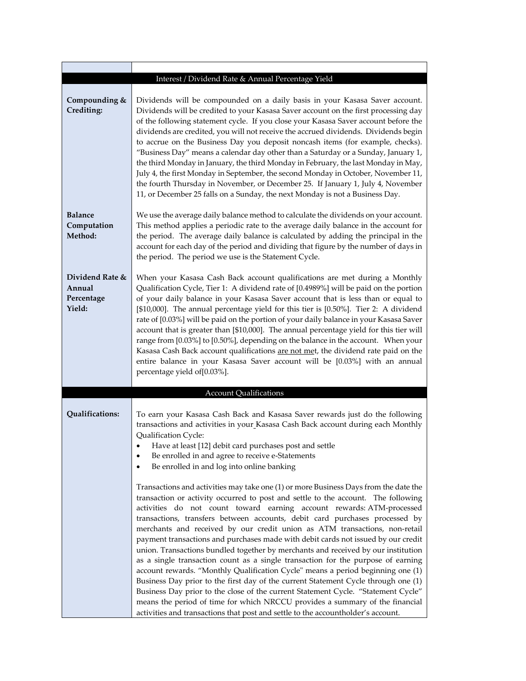|                                                   | Interest / Dividend Rate & Annual Percentage Yield                                                                                                                                                                                                                                                                                                                                                                                                                                                                                                                                                                                                                                                                                                                                                                                                                                                                                                                                                                                                                                                              |
|---------------------------------------------------|-----------------------------------------------------------------------------------------------------------------------------------------------------------------------------------------------------------------------------------------------------------------------------------------------------------------------------------------------------------------------------------------------------------------------------------------------------------------------------------------------------------------------------------------------------------------------------------------------------------------------------------------------------------------------------------------------------------------------------------------------------------------------------------------------------------------------------------------------------------------------------------------------------------------------------------------------------------------------------------------------------------------------------------------------------------------------------------------------------------------|
| Compounding &<br>Crediting:                       | Dividends will be compounded on a daily basis in your Kasasa Saver account.<br>Dividends will be credited to your Kasasa Saver account on the first processing day<br>of the following statement cycle. If you close your Kasasa Saver account before the<br>dividends are credited, you will not receive the accrued dividends. Dividends begin<br>to accrue on the Business Day you deposit noncash items (for example, checks).<br>"Business Day" means a calendar day other than a Saturday or a Sunday, January 1,<br>the third Monday in January, the third Monday in February, the last Monday in May,<br>July 4, the first Monday in September, the second Monday in October, November 11,<br>the fourth Thursday in November, or December 25. If January 1, July 4, November<br>11, or December 25 falls on a Sunday, the next Monday is not a Business Day.                                                                                                                                                                                                                                           |
| Balance<br>Computation<br>Method:                 | We use the average daily balance method to calculate the dividends on your account.<br>This method applies a periodic rate to the average daily balance in the account for<br>the period. The average daily balance is calculated by adding the principal in the<br>account for each day of the period and dividing that figure by the number of days in<br>the period. The period we use is the Statement Cycle.                                                                                                                                                                                                                                                                                                                                                                                                                                                                                                                                                                                                                                                                                               |
| Dividend Rate &<br>Annual<br>Percentage<br>Yield: | When your Kasasa Cash Back account qualifications are met during a Monthly<br>Qualification Cycle, Tier 1: A dividend rate of [0.4989%] will be paid on the portion<br>of your daily balance in your Kasasa Saver account that is less than or equal to<br>[\$10,000]. The annual percentage yield for this tier is [0.50%]. Tier 2: A dividend<br>rate of [0.03%] will be paid on the portion of your daily balance in your Kasasa Saver<br>account that is greater than [\$10,000]. The annual percentage yield for this tier will<br>range from [0.03%] to [0.50%], depending on the balance in the account. When your<br>Kasasa Cash Back account qualifications are not met, the dividend rate paid on the<br>entire balance in your Kasasa Saver account will be [0.03%] with an annual<br>percentage yield of[0.03%].                                                                                                                                                                                                                                                                                    |
|                                                   | <b>Account Qualifications</b>                                                                                                                                                                                                                                                                                                                                                                                                                                                                                                                                                                                                                                                                                                                                                                                                                                                                                                                                                                                                                                                                                   |
| Qualifications:                                   | To earn your Kasasa Cash Back and Kasasa Saver rewards just do the following<br>transactions and activities in your Kasasa Cash Back account during each Monthly<br>Qualification Cycle:<br>Have at least [12] debit card purchases post and settle<br>Be enrolled in and agree to receive e-Statements<br>Be enrolled in and log into online banking                                                                                                                                                                                                                                                                                                                                                                                                                                                                                                                                                                                                                                                                                                                                                           |
|                                                   | Transactions and activities may take one (1) or more Business Days from the date the<br>transaction or activity occurred to post and settle to the account. The following<br>activities do not count toward earning account rewards: ATM-processed<br>transactions, transfers between accounts, debit card purchases processed by<br>merchants and received by our credit union as ATM transactions, non-retail<br>payment transactions and purchases made with debit cards not issued by our credit<br>union. Transactions bundled together by merchants and received by our institution<br>as a single transaction count as a single transaction for the purpose of earning<br>account rewards. "Monthly Qualification Cycle" means a period beginning one (1)<br>Business Day prior to the first day of the current Statement Cycle through one (1)<br>Business Day prior to the close of the current Statement Cycle. "Statement Cycle"<br>means the period of time for which NRCCU provides a summary of the financial<br>activities and transactions that post and settle to the accountholder's account. |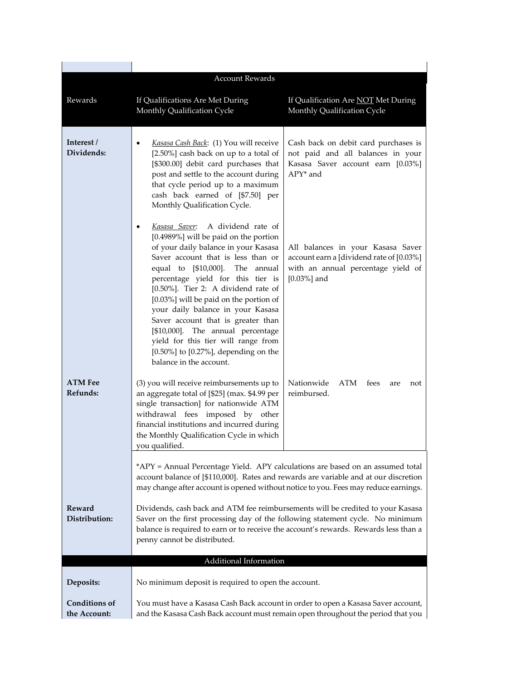|                                      | <b>Account Rewards</b>                                                                                                                                                                                                                                                                                                                                                                                                                                                                                                                                            |                                                                                                                                       |  |
|--------------------------------------|-------------------------------------------------------------------------------------------------------------------------------------------------------------------------------------------------------------------------------------------------------------------------------------------------------------------------------------------------------------------------------------------------------------------------------------------------------------------------------------------------------------------------------------------------------------------|---------------------------------------------------------------------------------------------------------------------------------------|--|
| Rewards                              | If Qualifications Are Met During<br>Monthly Qualification Cycle                                                                                                                                                                                                                                                                                                                                                                                                                                                                                                   | If Qualification Are NOT Met During<br>Monthly Qualification Cycle                                                                    |  |
| Interest /<br>Dividends:             | Kasasa Cash Back: (1) You will receive<br>$\bullet$<br>[2.50%] cash back on up to a total of<br>[\$300.00] debit card purchases that<br>post and settle to the account during<br>that cycle period up to a maximum<br>cash back earned of [\$7.50] per<br>Monthly Qualification Cycle.                                                                                                                                                                                                                                                                            | Cash back on debit card purchases is<br>not paid and all balances in your<br>Kasasa Saver account earn [0.03%]<br>APY* and            |  |
|                                      | A dividend rate of<br>Kasasa Saver:<br>$\bullet$<br>[0.4989%] will be paid on the portion<br>of your daily balance in your Kasasa<br>Saver account that is less than or<br>equal to [\$10,000]. The annual<br>percentage yield for this tier is<br>[0.50%]. Tier 2: A dividend rate of<br>[0.03%] will be paid on the portion of<br>your daily balance in your Kasasa<br>Saver account that is greater than<br>[\$10,000]. The annual percentage<br>yield for this tier will range from<br>$[0.50\%]$ to $[0.27\%]$ , depending on the<br>balance in the account. | All balances in your Kasasa Saver<br>account earn a [dividend rate of [0.03%]<br>with an annual percentage yield of<br>$[0.03\%]$ and |  |
| <b>ATM Fee</b><br>Refunds:           | (3) you will receive reimbursements up to<br>an aggregate total of [\$25] (max. \$4.99 per<br>single transaction] for nationwide ATM<br>withdrawal fees imposed by other<br>financial institutions and incurred during<br>the Monthly Qualification Cycle in which<br>vou qualified.                                                                                                                                                                                                                                                                              | Nationwide<br>ATM<br>fees<br>are<br>not<br>reimbursed.                                                                                |  |
|                                      | *APY = Annual Percentage Yield. APY calculations are based on an assumed total<br>account balance of [\$110,000]. Rates and rewards are variable and at our discretion<br>may change after account is opened without notice to you. Fees may reduce earnings.                                                                                                                                                                                                                                                                                                     |                                                                                                                                       |  |
| Reward<br>Distribution:              | Dividends, cash back and ATM fee reimbursements will be credited to your Kasasa<br>Saver on the first processing day of the following statement cycle. No minimum<br>balance is required to earn or to receive the account's rewards. Rewards less than a<br>penny cannot be distributed.                                                                                                                                                                                                                                                                         |                                                                                                                                       |  |
|                                      | Additional Information                                                                                                                                                                                                                                                                                                                                                                                                                                                                                                                                            |                                                                                                                                       |  |
| Deposits:                            | No minimum deposit is required to open the account.                                                                                                                                                                                                                                                                                                                                                                                                                                                                                                               |                                                                                                                                       |  |
| <b>Conditions of</b><br>the Account: | You must have a Kasasa Cash Back account in order to open a Kasasa Saver account,<br>and the Kasasa Cash Back account must remain open throughout the period that you                                                                                                                                                                                                                                                                                                                                                                                             |                                                                                                                                       |  |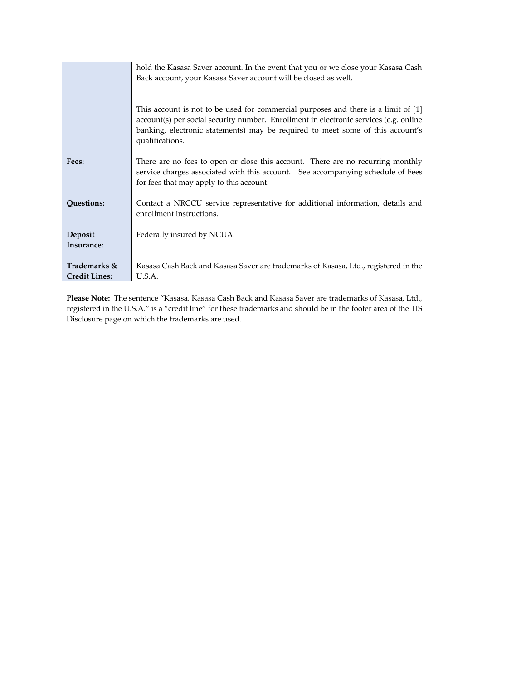|                      | hold the Kasasa Saver account. In the event that you or we close your Kasasa Cash                                                                                                                                                                                                |  |
|----------------------|----------------------------------------------------------------------------------------------------------------------------------------------------------------------------------------------------------------------------------------------------------------------------------|--|
|                      | Back account, your Kasasa Saver account will be closed as well.                                                                                                                                                                                                                  |  |
|                      | This account is not to be used for commercial purposes and there is a limit of [1]<br>account(s) per social security number. Enrollment in electronic services (e.g. online<br>banking, electronic statements) may be required to meet some of this account's<br>qualifications. |  |
| Fees:                | There are no fees to open or close this account. There are no recurring monthly<br>service charges associated with this account. See accompanying schedule of Fees<br>for fees that may apply to this account.                                                                   |  |
| Questions:           | Contact a NRCCU service representative for additional information, details and<br>enrollment instructions.                                                                                                                                                                       |  |
| Deposit              | Federally insured by NCUA.                                                                                                                                                                                                                                                       |  |
| Insurance:           |                                                                                                                                                                                                                                                                                  |  |
| Trademarks &         | Kasasa Cash Back and Kasasa Saver are trademarks of Kasasa, Ltd., registered in the                                                                                                                                                                                              |  |
| <b>Credit Lines:</b> | U.S.A.                                                                                                                                                                                                                                                                           |  |

**Please Note:** The sentence "Kasasa, Kasasa Cash Back and Kasasa Saver are trademarks of Kasasa, Ltd., registered in the U.S.A." is a "credit line" for these trademarks and should be in the footer area of the TIS Disclosure page on which the trademarks are used.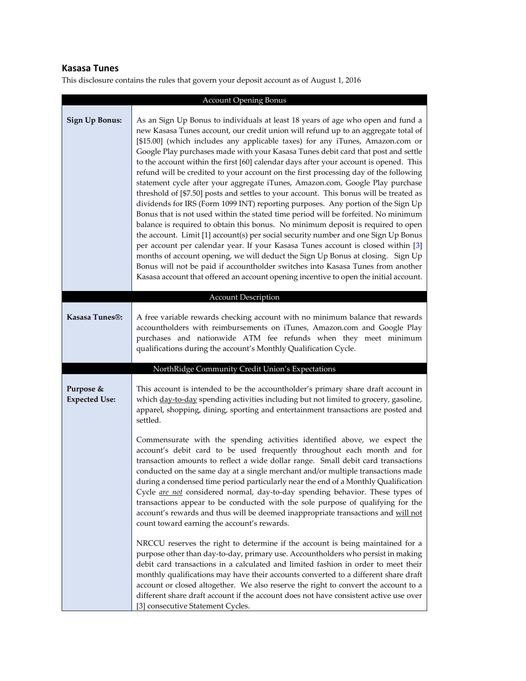# **Kasasa Tunes**

|                                   | <b>Account Opening Bonus</b>                                                                                                                                                                                                                                                                                                                                                                                                                                                                                                                                                                                                                                                                                                                                                                                                                                                                                                                                                                                                                                                                                                                                                                                                                                                                                                                                                                                   |
|-----------------------------------|----------------------------------------------------------------------------------------------------------------------------------------------------------------------------------------------------------------------------------------------------------------------------------------------------------------------------------------------------------------------------------------------------------------------------------------------------------------------------------------------------------------------------------------------------------------------------------------------------------------------------------------------------------------------------------------------------------------------------------------------------------------------------------------------------------------------------------------------------------------------------------------------------------------------------------------------------------------------------------------------------------------------------------------------------------------------------------------------------------------------------------------------------------------------------------------------------------------------------------------------------------------------------------------------------------------------------------------------------------------------------------------------------------------|
| <b>Sign Up Bonus:</b>             | As an Sign Up Bonus to individuals at least 18 years of age who open and fund a<br>new Kasasa Tunes account, our credit union will refund up to an aggregate total of<br>[\$15.00] (which includes any applicable taxes) for any iTunes, Amazon.com or<br>Google Play purchases made with your Kasasa Tunes debit card that post and settle<br>to the account within the first [60] calendar days after your account is opened. This<br>refund will be credited to your account on the first processing day of the following<br>statement cycle after your aggregate iTunes, Amazon.com, Google Play purchase<br>threshold of [\$7.50] posts and settles to your account. This bonus will be treated as<br>dividends for IRS (Form 1099 INT) reporting purposes. Any portion of the Sign Up<br>Bonus that is not used within the stated time period will be forfeited. No minimum<br>balance is required to obtain this bonus. No minimum deposit is required to open<br>the account. Limit [1] account(s) per social security number and one Sign Up Bonus<br>per account per calendar year. If your Kasasa Tunes account is closed within [3]<br>months of account opening, we will deduct the Sign Up Bonus at closing. Sign Up<br>Bonus will not be paid if accountholder switches into Kasasa Tunes from another<br>Kasasa account that offered an account opening incentive to open the initial account. |
|                                   | <b>Account Description</b>                                                                                                                                                                                                                                                                                                                                                                                                                                                                                                                                                                                                                                                                                                                                                                                                                                                                                                                                                                                                                                                                                                                                                                                                                                                                                                                                                                                     |
| Kasasa Tunes <sup>®</sup> :       | A free variable rewards checking account with no minimum balance that rewards<br>accountholders with reimbursements on iTunes, Amazon.com and Google Play<br>purchases and nationwide ATM fee refunds when they meet minimum<br>qualifications during the account's Monthly Qualification Cycle.                                                                                                                                                                                                                                                                                                                                                                                                                                                                                                                                                                                                                                                                                                                                                                                                                                                                                                                                                                                                                                                                                                               |
|                                   | NorthRidge Community Credit Union's Expectations                                                                                                                                                                                                                                                                                                                                                                                                                                                                                                                                                                                                                                                                                                                                                                                                                                                                                                                                                                                                                                                                                                                                                                                                                                                                                                                                                               |
| Purpose &<br><b>Expected Use:</b> | This account is intended to be the accountholder's primary share draft account in<br>which day-to-day spending activities including but not limited to grocery, gasoline,<br>apparel, shopping, dining, sporting and entertainment transactions are posted and<br>settled.<br>Commensurate with the spending activities identified above, we expect the<br>account's debit card to be used frequently throughout each month and for<br>transaction amounts to reflect a wide dollar range. Small debit card transactions<br>conducted on the same day at a single merchant and/or multiple transactions made<br>during a condensed time period particularly near the end of a Monthly Qualification<br>Cycle are not considered normal, day-to-day spending behavior. These types of<br>transactions appear to be conducted with the sole purpose of qualifying for the<br>account's rewards and thus will be deemed inappropriate transactions and will not<br>count toward earning the account's rewards.                                                                                                                                                                                                                                                                                                                                                                                                    |
|                                   | NRCCU reserves the right to determine if the account is being maintained for a<br>purpose other than day-to-day, primary use. Accountholders who persist in making<br>debit card transactions in a calculated and limited fashion in order to meet their<br>monthly qualifications may have their accounts converted to a different share draft<br>account or closed altogether. We also reserve the right to convert the account to a<br>different share draft account if the account does not have consistent active use over<br>[3] consecutive Statement Cycles.                                                                                                                                                                                                                                                                                                                                                                                                                                                                                                                                                                                                                                                                                                                                                                                                                                           |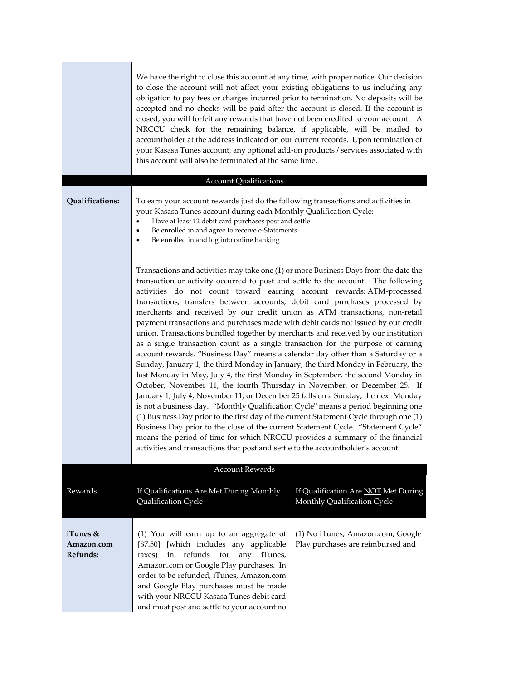|                                    | We have the right to close this account at any time, with proper notice. Our decision<br>to close the account will not affect your existing obligations to us including any<br>obligation to pay fees or charges incurred prior to termination. No deposits will be<br>accepted and no checks will be paid after the account is closed. If the account is<br>closed, you will forfeit any rewards that have not been credited to your account. A<br>NRCCU check for the remaining balance, if applicable, will be mailed to<br>accountholder at the address indicated on our current records. Upon termination of<br>your Kasasa Tunes account, any optional add-on products / services associated with<br>this account will also be terminated at the same time.                                                                                                                                                                                                                                                                                                                                                                                                                                                                                                                                                                                                                                                                                                                                                                                  |                                                                        |
|------------------------------------|----------------------------------------------------------------------------------------------------------------------------------------------------------------------------------------------------------------------------------------------------------------------------------------------------------------------------------------------------------------------------------------------------------------------------------------------------------------------------------------------------------------------------------------------------------------------------------------------------------------------------------------------------------------------------------------------------------------------------------------------------------------------------------------------------------------------------------------------------------------------------------------------------------------------------------------------------------------------------------------------------------------------------------------------------------------------------------------------------------------------------------------------------------------------------------------------------------------------------------------------------------------------------------------------------------------------------------------------------------------------------------------------------------------------------------------------------------------------------------------------------------------------------------------------------|------------------------------------------------------------------------|
|                                    | <b>Account Qualifications</b>                                                                                                                                                                                                                                                                                                                                                                                                                                                                                                                                                                                                                                                                                                                                                                                                                                                                                                                                                                                                                                                                                                                                                                                                                                                                                                                                                                                                                                                                                                                      |                                                                        |
| Qualifications:                    | To earn your account rewards just do the following transactions and activities in<br>your Kasasa Tunes account during each Monthly Qualification Cycle:<br>Have at least 12 debit card purchases post and settle<br>$\bullet$<br>Be enrolled in and agree to receive e-Statements<br>٠<br>Be enrolled in and log into online banking<br>$\bullet$                                                                                                                                                                                                                                                                                                                                                                                                                                                                                                                                                                                                                                                                                                                                                                                                                                                                                                                                                                                                                                                                                                                                                                                                  |                                                                        |
|                                    | Transactions and activities may take one (1) or more Business Days from the date the<br>transaction or activity occurred to post and settle to the account. The following<br>activities do not count toward earning account rewards: ATM-processed<br>transactions, transfers between accounts, debit card purchases processed by<br>merchants and received by our credit union as ATM transactions, non-retail<br>payment transactions and purchases made with debit cards not issued by our credit<br>union. Transactions bundled together by merchants and received by our institution<br>as a single transaction count as a single transaction for the purpose of earning<br>account rewards. "Business Day" means a calendar day other than a Saturday or a<br>Sunday, January 1, the third Monday in January, the third Monday in February, the<br>last Monday in May, July 4, the first Monday in September, the second Monday in<br>October, November 11, the fourth Thursday in November, or December 25. If<br>January 1, July 4, November 11, or December 25 falls on a Sunday, the next Monday<br>is not a business day. "Monthly Qualification Cycle" means a period beginning one<br>(1) Business Day prior to the first day of the current Statement Cycle through one (1)<br>Business Day prior to the close of the current Statement Cycle. "Statement Cycle"<br>means the period of time for which NRCCU provides a summary of the financial<br>activities and transactions that post and settle to the accountholder's account. |                                                                        |
| Rewards                            | <b>Account Rewards</b><br>If Qualifications Are Met During Monthly<br>Qualification Cycle                                                                                                                                                                                                                                                                                                                                                                                                                                                                                                                                                                                                                                                                                                                                                                                                                                                                                                                                                                                                                                                                                                                                                                                                                                                                                                                                                                                                                                                          | If Qualification Are NOT Met During<br>Monthly Qualification Cycle     |
| iTunes &<br>Amazon.com<br>Refunds: | (1) You will earn up to an aggregate of<br>[\$7.50] [which includes any applicable<br>refunds<br>for<br>any iTunes,<br>taxes)<br>in<br>Amazon.com or Google Play purchases. In<br>order to be refunded, iTunes, Amazon.com<br>and Google Play purchases must be made<br>with your NRCCU Kasasa Tunes debit card<br>and must post and settle to your account no                                                                                                                                                                                                                                                                                                                                                                                                                                                                                                                                                                                                                                                                                                                                                                                                                                                                                                                                                                                                                                                                                                                                                                                     | (1) No iTunes, Amazon.com, Google<br>Play purchases are reimbursed and |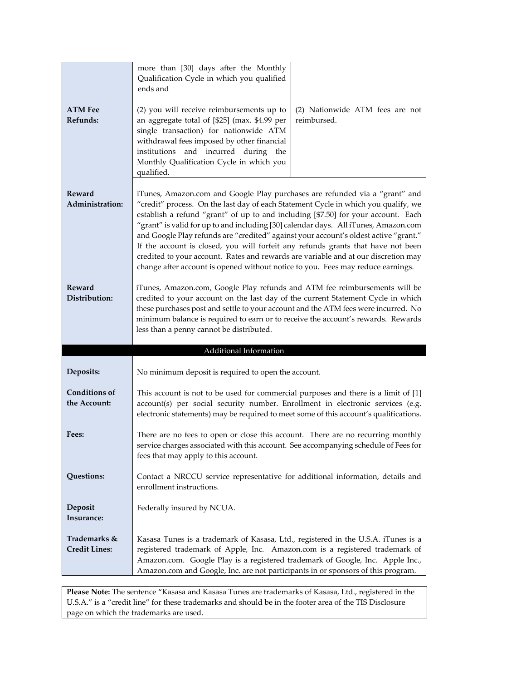| <b>ATM Fee</b><br>Refunds:           | more than [30] days after the Monthly<br>Qualification Cycle in which you qualified<br>ends and<br>(2) you will receive reimbursements up to<br>an aggregate total of [\$25] (max. \$4.99 per<br>single transaction) for nationwide ATM<br>withdrawal fees imposed by other financial<br>institutions and incurred during the<br>Monthly Qualification Cycle in which you<br>qualified.                                                                                                                                                                                                                                                                                                            | (2) Nationwide ATM fees are not<br>reimbursed. |
|--------------------------------------|----------------------------------------------------------------------------------------------------------------------------------------------------------------------------------------------------------------------------------------------------------------------------------------------------------------------------------------------------------------------------------------------------------------------------------------------------------------------------------------------------------------------------------------------------------------------------------------------------------------------------------------------------------------------------------------------------|------------------------------------------------|
| Reward<br>Administration:            | iTunes, Amazon.com and Google Play purchases are refunded via a "grant" and<br>"credit" process. On the last day of each Statement Cycle in which you qualify, we<br>establish a refund "grant" of up to and including [\$7.50] for your account. Each<br>"grant" is valid for up to and including [30] calendar days. All iTunes, Amazon.com<br>and Google Play refunds are "credited" against your account's oldest active "grant."<br>If the account is closed, you will forfeit any refunds grants that have not been<br>credited to your account. Rates and rewards are variable and at our discretion may<br>change after account is opened without notice to you. Fees may reduce earnings. |                                                |
| Reward<br>Distribution:              | iTunes, Amazon.com, Google Play refunds and ATM fee reimbursements will be<br>credited to your account on the last day of the current Statement Cycle in which<br>these purchases post and settle to your account and the ATM fees were incurred. No<br>minimum balance is required to earn or to receive the account's rewards. Rewards<br>less than a penny cannot be distributed.                                                                                                                                                                                                                                                                                                               |                                                |
|                                      | Additional Information                                                                                                                                                                                                                                                                                                                                                                                                                                                                                                                                                                                                                                                                             |                                                |
| Deposits:                            | No minimum deposit is required to open the account.                                                                                                                                                                                                                                                                                                                                                                                                                                                                                                                                                                                                                                                |                                                |
| <b>Conditions of</b><br>the Account: | This account is not to be used for commercial purposes and there is a limit of [1]<br>account(s) per social security number. Enrollment in electronic services (e.g.<br>electronic statements) may be required to meet some of this account's qualifications.                                                                                                                                                                                                                                                                                                                                                                                                                                      |                                                |
| Fees:                                | There are no fees to open or close this account. There are no recurring monthly<br>service charges associated with this account. See accompanying schedule of Fees for<br>fees that may apply to this account.                                                                                                                                                                                                                                                                                                                                                                                                                                                                                     |                                                |
| Questions:                           | Contact a NRCCU service representative for additional information, details and<br>enrollment instructions.                                                                                                                                                                                                                                                                                                                                                                                                                                                                                                                                                                                         |                                                |
| Deposit<br>Insurance:                | Federally insured by NCUA.                                                                                                                                                                                                                                                                                                                                                                                                                                                                                                                                                                                                                                                                         |                                                |
| Trademarks &<br><b>Credit Lines:</b> | Kasasa Tunes is a trademark of Kasasa, Ltd., registered in the U.S.A. iTunes is a<br>registered trademark of Apple, Inc. Amazon.com is a registered trademark of<br>Amazon.com. Google Play is a registered trademark of Google, Inc. Apple Inc.,<br>Amazon.com and Google, Inc. are not participants in or sponsors of this program.                                                                                                                                                                                                                                                                                                                                                              |                                                |

**Please Note:** The sentence "Kasasa and Kasasa Tunes are trademarks of Kasasa, Ltd., registered in the U.S.A." is a "credit line" for these trademarks and should be in the footer area of the TIS Disclosure page on which the trademarks are used.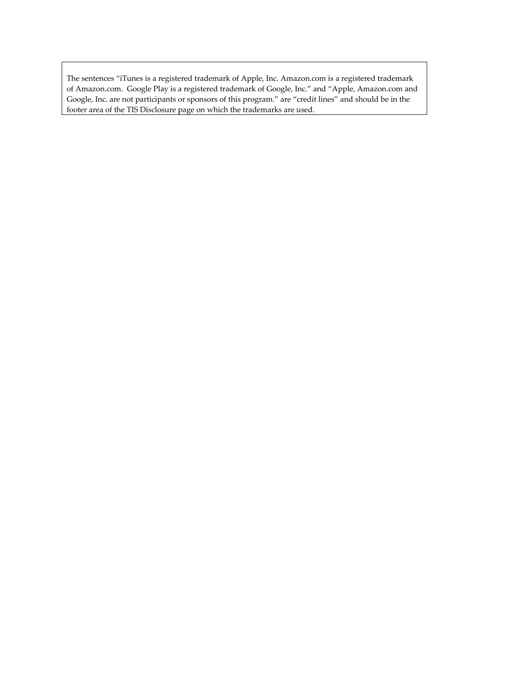The sentences "iTunes is a registered trademark of Apple, Inc. Amazon.com is a registered trademark of Amazon.com. Google Play is a registered trademark of Google, Inc." and "Apple, Amazon.com and Google, Inc. are not participants or sponsors of this program." are "credit lines" and should be in the footer area of the TIS Disclosure page on which the trademarks are used.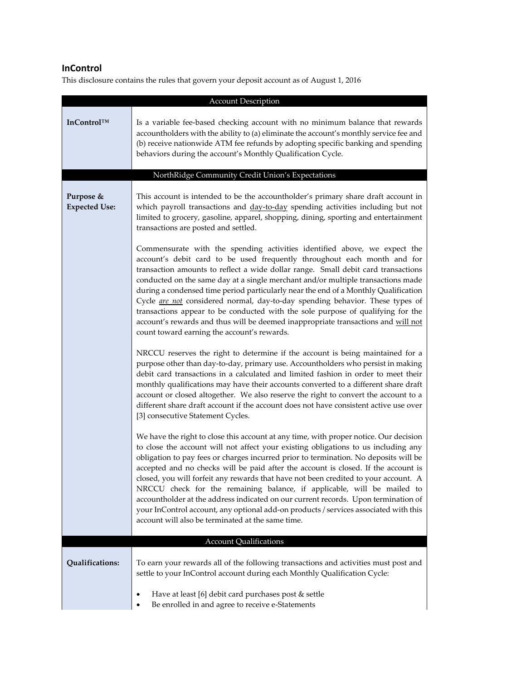## **InControl**

| <b>Account Description</b>        |                                                                                                                                                                                                                                                                                                                                                                                                                                                                                                                                                                                                                                                                                                                                                                |
|-----------------------------------|----------------------------------------------------------------------------------------------------------------------------------------------------------------------------------------------------------------------------------------------------------------------------------------------------------------------------------------------------------------------------------------------------------------------------------------------------------------------------------------------------------------------------------------------------------------------------------------------------------------------------------------------------------------------------------------------------------------------------------------------------------------|
| InControl™                        | Is a variable fee-based checking account with no minimum balance that rewards<br>accountholders with the ability to (a) eliminate the account's monthly service fee and<br>(b) receive nationwide ATM fee refunds by adopting specific banking and spending<br>behaviors during the account's Monthly Qualification Cycle.                                                                                                                                                                                                                                                                                                                                                                                                                                     |
|                                   | NorthRidge Community Credit Union's Expectations                                                                                                                                                                                                                                                                                                                                                                                                                                                                                                                                                                                                                                                                                                               |
| Purpose &<br><b>Expected Use:</b> | This account is intended to be the accountholder's primary share draft account in<br>which payroll transactions and day-to-day spending activities including but not<br>limited to grocery, gasoline, apparel, shopping, dining, sporting and entertainment<br>transactions are posted and settled.                                                                                                                                                                                                                                                                                                                                                                                                                                                            |
|                                   | Commensurate with the spending activities identified above, we expect the<br>account's debit card to be used frequently throughout each month and for<br>transaction amounts to reflect a wide dollar range. Small debit card transactions<br>conducted on the same day at a single merchant and/or multiple transactions made<br>during a condensed time period particularly near the end of a Monthly Qualification<br>Cycle are not considered normal, day-to-day spending behavior. These types of<br>transactions appear to be conducted with the sole purpose of qualifying for the<br>account's rewards and thus will be deemed inappropriate transactions and will not<br>count toward earning the account's rewards.                                  |
|                                   | NRCCU reserves the right to determine if the account is being maintained for a<br>purpose other than day-to-day, primary use. Accountholders who persist in making<br>debit card transactions in a calculated and limited fashion in order to meet their<br>monthly qualifications may have their accounts converted to a different share draft<br>account or closed altogether. We also reserve the right to convert the account to a<br>different share draft account if the account does not have consistent active use over<br>[3] consecutive Statement Cycles.                                                                                                                                                                                           |
|                                   | We have the right to close this account at any time, with proper notice. Our decision<br>to close the account will not affect your existing obligations to us including any<br>obligation to pay fees or charges incurred prior to termination. No deposits will be<br>accepted and no checks will be paid after the account is closed. If the account is<br>closed, you will forfeit any rewards that have not been credited to your account. A<br>NRCCU check for the remaining balance, if applicable, will be mailed to<br>accountholder at the address indicated on our current records. Upon termination of<br>your InControl account, any optional add-on products / services associated with this<br>account will also be terminated at the same time. |
|                                   | <b>Account Qualifications</b>                                                                                                                                                                                                                                                                                                                                                                                                                                                                                                                                                                                                                                                                                                                                  |
| Qualifications:                   | To earn your rewards all of the following transactions and activities must post and<br>settle to your InControl account during each Monthly Qualification Cycle:                                                                                                                                                                                                                                                                                                                                                                                                                                                                                                                                                                                               |
|                                   | Have at least [6] debit card purchases post & settle<br>٠<br>Be enrolled in and agree to receive e-Statements                                                                                                                                                                                                                                                                                                                                                                                                                                                                                                                                                                                                                                                  |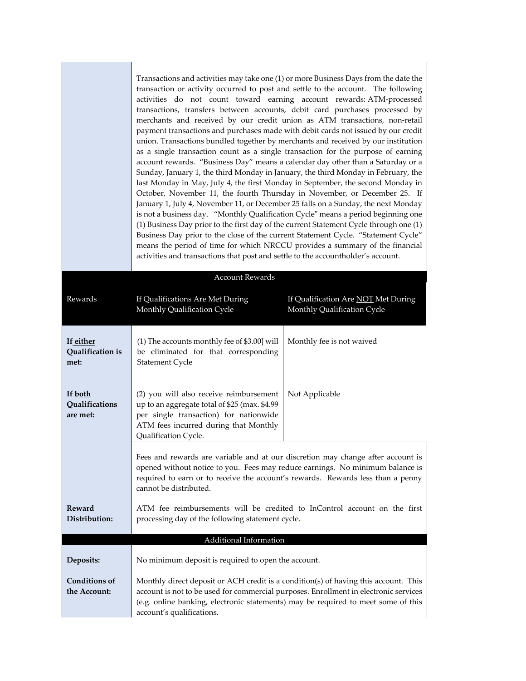|                                       | Transactions and activities may take one (1) or more Business Days from the date the<br>transaction or activity occurred to post and settle to the account. The following<br>activities do not count toward earning account rewards: ATM-processed<br>transactions, transfers between accounts, debit card purchases processed by<br>merchants and received by our credit union as ATM transactions, non-retail<br>payment transactions and purchases made with debit cards not issued by our credit<br>union. Transactions bundled together by merchants and received by our institution<br>as a single transaction count as a single transaction for the purpose of earning<br>account rewards. "Business Day" means a calendar day other than a Saturday or a<br>Sunday, January 1, the third Monday in January, the third Monday in February, the<br>last Monday in May, July 4, the first Monday in September, the second Monday in<br>October, November 11, the fourth Thursday in November, or December 25. If<br>January 1, July 4, November 11, or December 25 falls on a Sunday, the next Monday<br>is not a business day. "Monthly Qualification Cycle" means a period beginning one<br>(1) Business Day prior to the first day of the current Statement Cycle through one (1)<br>Business Day prior to the close of the current Statement Cycle. "Statement Cycle"<br>means the period of time for which NRCCU provides a summary of the financial<br>activities and transactions that post and settle to the accountholder's account. |                                                                    |
|---------------------------------------|----------------------------------------------------------------------------------------------------------------------------------------------------------------------------------------------------------------------------------------------------------------------------------------------------------------------------------------------------------------------------------------------------------------------------------------------------------------------------------------------------------------------------------------------------------------------------------------------------------------------------------------------------------------------------------------------------------------------------------------------------------------------------------------------------------------------------------------------------------------------------------------------------------------------------------------------------------------------------------------------------------------------------------------------------------------------------------------------------------------------------------------------------------------------------------------------------------------------------------------------------------------------------------------------------------------------------------------------------------------------------------------------------------------------------------------------------------------------------------------------------------------------------------------------------|--------------------------------------------------------------------|
| <b>Account Rewards</b>                |                                                                                                                                                                                                                                                                                                                                                                                                                                                                                                                                                                                                                                                                                                                                                                                                                                                                                                                                                                                                                                                                                                                                                                                                                                                                                                                                                                                                                                                                                                                                                    |                                                                    |
| Rewards                               | If Qualifications Are Met During<br>Monthly Qualification Cycle                                                                                                                                                                                                                                                                                                                                                                                                                                                                                                                                                                                                                                                                                                                                                                                                                                                                                                                                                                                                                                                                                                                                                                                                                                                                                                                                                                                                                                                                                    | If Qualification Are NOT Met During<br>Monthly Qualification Cycle |
| If either<br>Qualification is<br>met: | (1) The accounts monthly fee of \$3.00] will<br>be eliminated for that corresponding<br>Statement Cycle                                                                                                                                                                                                                                                                                                                                                                                                                                                                                                                                                                                                                                                                                                                                                                                                                                                                                                                                                                                                                                                                                                                                                                                                                                                                                                                                                                                                                                            | Monthly fee is not waived                                          |
| If both<br>Qualifications<br>are met: | (2) you will also receive reimbursement<br>up to an aggregate total of \$25 (max. \$4.99<br>per single transaction) for nationwide<br>ATM fees incurred during that Monthly<br>Qualification Cycle.                                                                                                                                                                                                                                                                                                                                                                                                                                                                                                                                                                                                                                                                                                                                                                                                                                                                                                                                                                                                                                                                                                                                                                                                                                                                                                                                                | Not Applicable                                                     |
|                                       | Fees and rewards are variable and at our discretion may change after account is<br>opened without notice to you. Fees may reduce earnings. No minimum balance is<br>required to earn or to receive the account's rewards. Rewards less than a penny<br>cannot be distributed.                                                                                                                                                                                                                                                                                                                                                                                                                                                                                                                                                                                                                                                                                                                                                                                                                                                                                                                                                                                                                                                                                                                                                                                                                                                                      |                                                                    |
| <b>Reward</b><br>Distribution:        | ATM fee reimbursements will be credited to InControl account on the first<br>processing day of the following statement cycle.                                                                                                                                                                                                                                                                                                                                                                                                                                                                                                                                                                                                                                                                                                                                                                                                                                                                                                                                                                                                                                                                                                                                                                                                                                                                                                                                                                                                                      |                                                                    |
|                                       | Additional Information                                                                                                                                                                                                                                                                                                                                                                                                                                                                                                                                                                                                                                                                                                                                                                                                                                                                                                                                                                                                                                                                                                                                                                                                                                                                                                                                                                                                                                                                                                                             |                                                                    |
| Deposits:                             | No minimum deposit is required to open the account.                                                                                                                                                                                                                                                                                                                                                                                                                                                                                                                                                                                                                                                                                                                                                                                                                                                                                                                                                                                                                                                                                                                                                                                                                                                                                                                                                                                                                                                                                                |                                                                    |
| <b>Conditions of</b><br>the Account:  | Monthly direct deposit or ACH credit is a condition(s) of having this account. This<br>account is not to be used for commercial purposes. Enrollment in electronic services<br>(e.g. online banking, electronic statements) may be required to meet some of this<br>account's qualifications.                                                                                                                                                                                                                                                                                                                                                                                                                                                                                                                                                                                                                                                                                                                                                                                                                                                                                                                                                                                                                                                                                                                                                                                                                                                      |                                                                    |